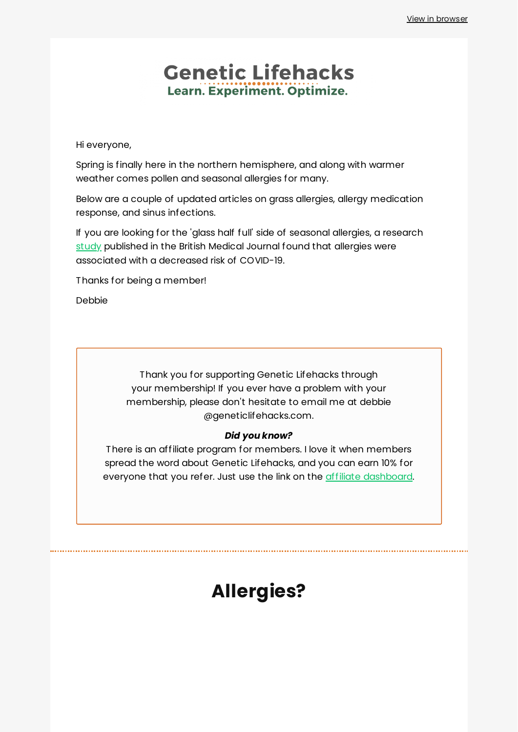## **Genetic Lifehacks** Learn. Experiment. Optimize.

Hi everyone,

Spring is finally here in the northern hemisphere, and along with warmer weather comes pollen and seasonal allergies for many.

Below are a couple of updated articles on grass allergies, allergy medication response, and sinus infections.

If you are looking for the 'glass half full' side of seasonal allergies, a research [study](https://www.healthline.com/health-news/people-with-allergies-may-have-a-lower-risk-of-developing-covid-19-heres-why) published in the British Medical Journal found that allergies were associated with a decreased risk of COVID-19.

Thanks for being a member!

Debbie

Thank you for supporting Genetic Lifehacks through your membership! If you ever have a problem with your membership, please don't hesitate to email me at debbie @geneticlifehacks.com.

#### *Did you know?*

There is an affiliate program for members. I love it when members spread the word about Genetic Lifehacks, and you can earn 10% for everyone that you refer. Just use the link on the *affiliate [dashboard](https://www.geneticlifehacks.com/affiliate-dashboard/?action=home)*.

# **Allergies?**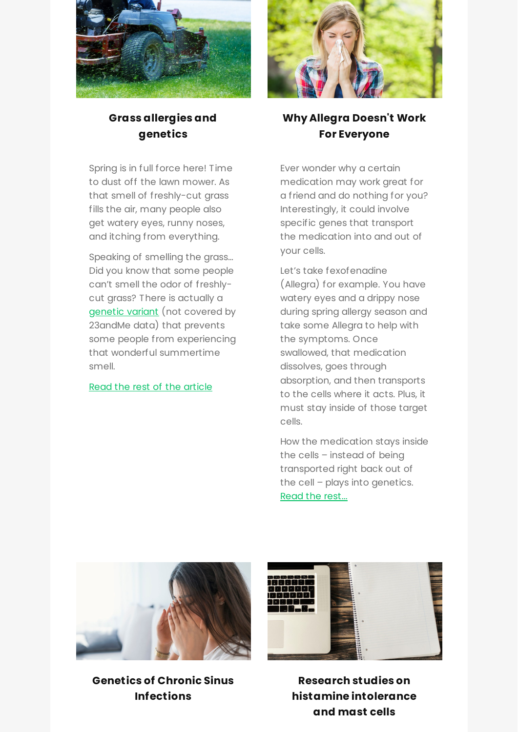

### **Grass [allergies](https://www.geneticlifehacks.com/are-you-allergic-to-grass-pollen-it-may-be-genetic/) and genetics**

Spring is in full force here! Time to dust off the lawn mower. As that smell of freshly-cut grass fills the air, many people also get watery eyes, runny noses, and itching from everything.

Speaking of smelling the grass… Did you know that some people can't smell the odor of freshlycut grass? There is actually a [genetic](https://www.ncbi.nlm.nih.gov/pubmed/22714804) variant (not covered by 23andMe data) that prevents some people from experiencing that wonderful summertime smell.

#### Read the rest of the [article](https://www.geneticlifehacks.com/are-you-allergic-to-grass-pollen-it-may-be-genetic/)



## **Why Allegra Doesn't Work For [Everyone](https://www.geneticlifehacks.com/why-allegra-may-not-work-for-you/)**

Ever wonder why a certain medication may work great for a friend and do nothing for you? Interestingly, it could involve specific genes that transport the medication into and out of your cells.

Let's take fexofenadine (Allegra) for example. You have watery eyes and a drippy nose during spring allergy season and take some Allegra to help with the symptoms. Once swallowed, that medication dissolves, goes through absorption, and then transports to the cells where it acts. Plus, it must stay inside of those target cells.

How the medication stays inside the cells – instead of being transported right back out of the cell – plays into genetics. Read the [rest...](https://www.geneticlifehacks.com/why-allegra-may-not-work-for-you/)



**Genetics of Chronic Sinus [Infections](https://www.geneticlifehacks.com/genetics-of-chronic-sinus-infections-members/)**



**Research studies on histamine [intolerance](https://www.geneticlifehacks.com/notes-about-histamine-and-mast-cells/) and mast cells**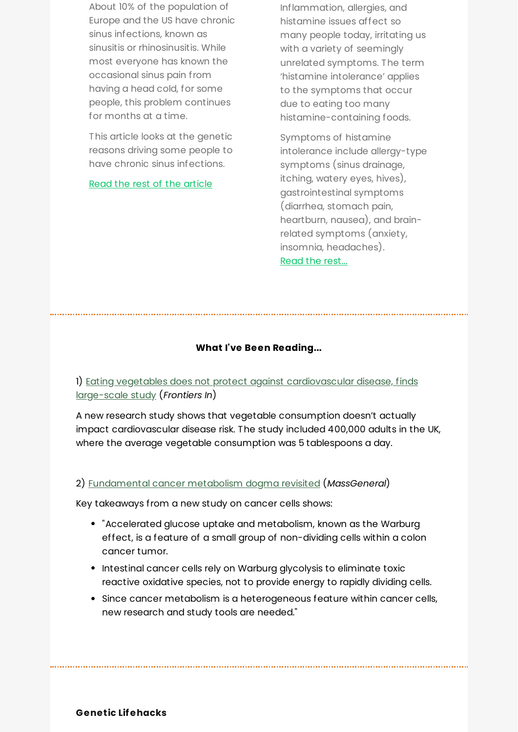About 10% of the population of Europe and the US have chronic sinus infections, known as sinusitis or rhinosinusitis. While most everyone has known the occasional sinus pain from having a head cold, for some people, this problem continues for months at a time.

This article looks at the genetic reasons driving some people to have chronic sinus infections.

Read the rest of the [article](https://www.geneticlifehacks.com/genetics-of-chronic-sinus-infections-members/)

Inflammation, allergies, and histamine issues affect so many people today, irritating us with a variety of seemingly unrelated symptoms. The term 'histamine intolerance' applies to the symptoms that occur due to eating too many histamine-containing foods.

Symptoms of histamine intolerance include allergy-type symptoms (sinus drainage, itching, watery eyes, hives), gastrointestinal symptoms (diarrhea, stomach pain, heartburn, nausea), and brainrelated symptoms (anxiety, insomnia, headaches). Read the [rest...](https://www.geneticlifehacks.com/why-allegra-may-not-work-for-you/)

#### **What I've Been Reading...**

1) Eating vegetables does not protect against [cardiovascular](https://blog.frontiersin.org/2022/02/21/frontiers-nutrition-cardiovascular-disease-risk-vegetable-intake-does-not-protect/) disease, finds large-scale study (*Frontiers In*)

A new research study shows that vegetable consumption doesn't actually impact cardiovascular disease risk. The study included 400,000 adults in the UK, where the average vegetable consumption was 5 tablespoons a day.

#### 2) [Fundamental](https://www.massgeneral.org/news/press-release/Fundamental-cancer-metabolism-dogma-revisited) cancer metabolism dogma revisited (*MassGeneral*)

Key takeaways from a new study on cancer cells shows:

- "Accelerated glucose uptake and metabolism, known as the Warburg effect, is a feature of a small group of non-dividing cells within a colon cancer tumor.
- Intestinal cancer cells rely on Warburg glycolysis to eliminate toxic reactive oxidative species, not to provide energy to rapidly dividing cells.
- Since cancer metabolism is a heterogeneous feature within cancer cells, new research and study tools are needed."